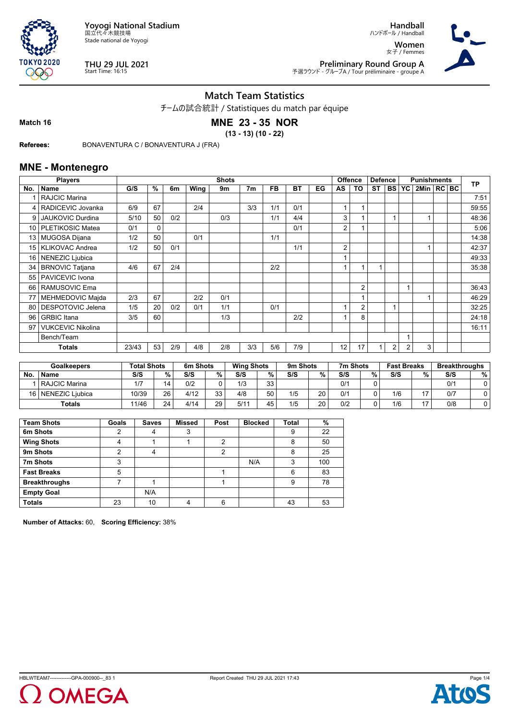



**THU 29 JUL 2021** Start Time: 16:15

**Handball**

ハンドボール / Handball **Women** 女子 / Femmes



**Preliminary Round Group A** 予選ラウンド - グループA / Tour préliminaire - groupe A

## **Match Team Statistics**

チームの試合統計 / Statistiques du match par équipe

**Match 16**

# **MNE 23 - 35 NOR**

**(13 - 13) (10 - 22)**

**Referees:** BONAVENTURA C / BONAVENTURA J (FRA)

### **MNE - Montenegro**

|                 | <b>Players</b>           |       | <b>Shots</b><br><b>Offence</b> |     |      |     |                |           |           | <b>Defence</b> |    |                | <b>Punishments</b> |                | <b>TP</b> |                |  |       |
|-----------------|--------------------------|-------|--------------------------------|-----|------|-----|----------------|-----------|-----------|----------------|----|----------------|--------------------|----------------|-----------|----------------|--|-------|
| No.             | <b>Name</b>              | G/S   | %                              | 6m  | Wing | 9m  | 7 <sub>m</sub> | <b>FB</b> | <b>BT</b> | EG             | AS | TO             | <b>ST</b>          | <b>BS</b>      | YC        | 2Min   RC   BC |  |       |
|                 | <b>RAJCIC Marina</b>     |       |                                |     |      |     |                |           |           |                |    |                |                    |                |           |                |  | 7:51  |
| 4               | RADICEVIC Jovanka        | 6/9   | 67                             |     | 2/4  |     | 3/3            | 1/1       | 0/1       |                |    |                |                    |                |           |                |  | 59:55 |
| 9               | JAUKOVIC Durdina         | 5/10  | 50                             | 0/2 |      | 0/3 |                | 1/1       | 4/4       |                | 3  |                |                    |                |           |                |  | 48:36 |
|                 | 10   PLETIKOSIC Matea    | 0/1   | $\mathbf 0$                    |     |      |     |                |           | 0/1       |                | 2  |                |                    |                |           |                |  | 5:06  |
| 13 <sup>1</sup> | <b>MUGOSA Dijana</b>     | 1/2   | 50                             |     | 0/1  |     |                | 1/1       |           |                |    |                |                    |                |           |                |  | 14:38 |
|                 | 15   KLIKOVAC Andrea     | 1/2   | 50                             | 0/1 |      |     |                |           | 1/1       |                | 2  |                |                    |                |           |                |  | 42:37 |
| 16 <sup>1</sup> | NENEZIC Ljubica          |       |                                |     |      |     |                |           |           |                |    |                |                    |                |           |                |  | 49:33 |
| 34              | <b>BRNOVIC Tatjana</b>   | 4/6   | 67                             | 2/4 |      |     |                | 2/2       |           |                |    |                |                    |                |           |                |  | 35:38 |
|                 | 55   PAVICEVIC Ivona     |       |                                |     |      |     |                |           |           |                |    |                |                    |                |           |                |  |       |
| 66 I            | RAMUSOVIC Ema            |       |                                |     |      |     |                |           |           |                |    | 2              |                    |                |           |                |  | 36:43 |
| 77              | MEHMEDOVIC Majda         | 2/3   | 67                             |     | 2/2  | 0/1 |                |           |           |                |    |                |                    |                |           |                |  | 46:29 |
| 80              | DESPOTOVIC Jelena        | 1/5   | 20                             | 0/2 | 0/1  | 1/1 |                | 0/1       |           |                |    | $\overline{2}$ |                    |                |           |                |  | 32:25 |
| 96              | <b>GRBIC</b> Itana       | 3/5   | 60                             |     |      | 1/3 |                |           | 2/2       |                |    | 8              |                    |                |           |                |  | 24:18 |
| 97              | <b>VUKCEVIC Nikolina</b> |       |                                |     |      |     |                |           |           |                |    |                |                    |                |           |                |  | 16:11 |
|                 | Bench/Team               |       |                                |     |      |     |                |           |           |                |    |                |                    |                |           |                |  |       |
|                 | <b>Totals</b>            | 23/43 | 53                             | 2/9 | 4/8  | 2/8 | 3/3            | 5/6       | 7/9       |                | 12 | 17             |                    | $\overline{2}$ | 2         | 3              |  |       |

|      | Goalkeepers     | <b>Total Shots</b> |    | 6m Shots |    | <b>Wing Shots</b> |    | 9m Shots |    | 7m Shots |   | <b>Fast Breaks</b> |    | <b>Breakthroughs</b> |   |
|------|-----------------|--------------------|----|----------|----|-------------------|----|----------|----|----------|---|--------------------|----|----------------------|---|
| No   | <b>Name</b>     | S/S                | %  | S/S      | %  | S/S               | %  | S/S      | %  | S/S      | % | S/S                | %  | S/S                  | % |
|      | RAJCIC Marina   | 1/7                | 14 | 0/2      |    | 1/3               | 33 |          |    | 0/1      |   |                    |    | 0/1                  |   |
| 16 l | NENEZIC Liubica | 10/39              | 26 | 4/12     | っっ | 4/8               | 50 | 1/5      | 20 | 0/1      |   | 1/6                | 17 | 0/7                  |   |
|      | Totals          | 11/46              | 24 | 4/14     | 29 | 5/1 <sup>4</sup>  | 45 | 1/5      | 20 | 0/2      |   | 1/6                | 17 | 0/8                  |   |

| <b>Team Shots</b>    | Goals | <b>Saves</b> | <b>Missed</b> | Post | <b>Blocked</b> | <b>Total</b> | %   |
|----------------------|-------|--------------|---------------|------|----------------|--------------|-----|
| 6m Shots             | າ     | 4            | 3             |      |                | 9            | 22  |
| <b>Wing Shots</b>    | 4     |              |               | 2    |                | 8            | 50  |
| 9m Shots             | າ     | 4            |               | 2    |                | 8            | 25  |
| 7m Shots             | 3     |              |               |      | N/A            | 3            | 100 |
| <b>Fast Breaks</b>   | 5     |              |               |      |                | 6            | 83  |
| <b>Breakthroughs</b> |       |              |               |      |                | 9            | 78  |
| <b>Empty Goal</b>    |       | N/A          |               |      |                |              |     |
| <b>Totals</b>        | 23    | 10           | 4             | 6    |                | 43           | 53  |

**Number of Attacks:** 60, **Scoring Efficiency:** 38%



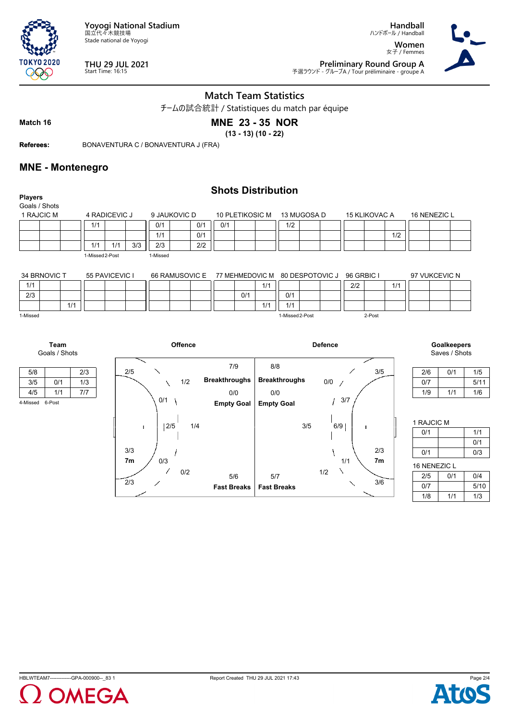

**THU 29 JUL 2021** Start Time: 16:15

女子 / Femmes **Preliminary Round Group A**<br>ア選ラウンド - グループA / Tour préliminaire - groupe A



**Handball** ハンドボール / Handball **Women**

**Match Team Statistics**

チームの試合統計 / Statistiques du match par équipe

**Match 16**

**TOKYO 2020** 999

## **MNE 23 - 35 NOR**

**(13 - 13) (10 - 22)**

**Referees:** BONAVENTURA C / BONAVENTURA J (FRA)

### **MNE - Montenegro**

| <b>Players</b>  |                 |                |            |                |                      |                   | <b>Shots Distribution</b> |                      |             |                 |            |                      |     |              |                    |  |
|-----------------|-----------------|----------------|------------|----------------|----------------------|-------------------|---------------------------|----------------------|-------------|-----------------|------------|----------------------|-----|--------------|--------------------|--|
| Goals / Shots   |                 |                |            |                |                      |                   |                           |                      |             |                 |            |                      |     |              |                    |  |
| 1 RAJCIC M      |                 | 4 RADICEVIC J  |            | 9 JAUKOVIC D   |                      | 10 PLETIKOSIC M   |                           |                      | 13 MUGOSA D |                 |            | <b>15 KLIKOVAC A</b> |     | 16 NENEZIC L |                    |  |
|                 | 1/1             |                | 0/1        | 0/1            | 0/1                  |                   |                           | 1/2                  |             |                 |            |                      |     |              |                    |  |
|                 |                 |                | 1/1        | 0/1            |                      |                   |                           |                      |             |                 |            |                      | 1/2 |              |                    |  |
|                 | 1/1             | 1/1            | 3/3<br>2/3 | 2/2            |                      |                   |                           |                      |             |                 |            |                      |     |              |                    |  |
|                 | 1-Missed 2-Post |                | 1-Missed   |                |                      |                   |                           |                      |             |                 |            |                      |     |              |                    |  |
|                 |                 |                |            |                |                      |                   |                           |                      |             |                 |            |                      |     |              |                    |  |
| 34 BRNOVIC T    |                 | 55 PAVICEVIC I |            | 66 RAMUSOVIC E |                      |                   | 77 MEHMEDOVIC M           |                      |             | 80 DESPOTOVIC J | 96 GRBIC I |                      |     |              | 97 VUKCEVIC N      |  |
| 1/1             |                 |                |            |                |                      |                   | 1/1                       |                      |             |                 | 2/2        |                      | 1/1 |              |                    |  |
| 2/3             |                 |                |            |                |                      | 0/1               |                           | 0/1                  |             |                 |            |                      |     |              |                    |  |
| 1/1             |                 |                |            |                |                      |                   | 1/1                       | 1/1                  |             |                 |            |                      |     |              |                    |  |
| 1-Missed        |                 |                |            |                |                      |                   |                           | 1-Missed 2-Post      |             |                 |            | 2-Post               |     |              |                    |  |
|                 |                 |                |            |                |                      |                   |                           |                      |             |                 |            |                      |     |              |                    |  |
|                 |                 |                |            |                |                      |                   |                           |                      |             |                 |            |                      |     |              |                    |  |
| Team            |                 |                |            | <b>Offence</b> |                      |                   |                           |                      |             | <b>Defence</b>  |            |                      |     |              | <b>Goalkeepers</b> |  |
| Goals / Shots   |                 |                |            |                |                      |                   |                           |                      |             |                 |            |                      |     |              | Saves / Shots      |  |
| 5/8             | 2/3             | 2/5            |            |                |                      | 7/9               | 8/8                       |                      |             |                 |            | 3/5                  |     | 2/6          | 0/1                |  |
| 3/5<br>0/1      | 1/3             |                |            | 1/2            | <b>Breakthroughs</b> |                   |                           | <b>Breakthroughs</b> |             | 0/0             |            |                      |     | 0/7          |                    |  |
| 1/1             | 7/7             |                |            |                |                      |                   |                           |                      |             | $\overline{1}$  |            |                      |     | 1/9          | 1/1                |  |
| 4/5             |                 |                | 0/1        |                |                      | 0/0               | 0/0                       |                      |             |                 | 3/7        |                      |     |              |                    |  |
| 4-Missed 6-Post |                 |                |            |                |                      | <b>Empty Goal</b> | <b>Empty Goal</b>         |                      |             |                 |            |                      |     |              |                    |  |



| 2/6 | 0/1 | 1/5  |
|-----|-----|------|
| 0/7 |     | 5/11 |
| 1/9 | 1/1 | 1/6  |

| 1 RAJCIC M   |     |      |
|--------------|-----|------|
| 0/1          |     | 1/1  |
|              |     | 0/1  |
| 0/1          |     | 0/3  |
| 16 NENEZIC L |     |      |
| 2/5          | 0/1 | 0/4  |
| 0/7          |     | 5/10 |

1/8 1/1 1/3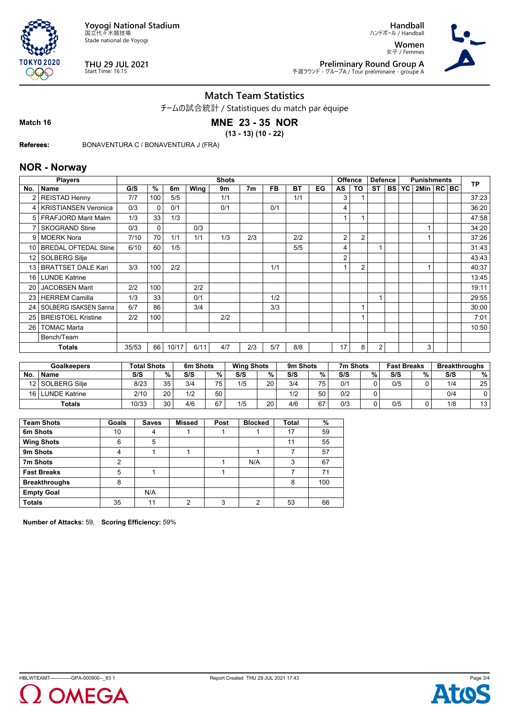



**THU 29 JUL 2021** Start Time: 16:15

**Handball**

ハンドボール / Handball **Women** 女子 / Femmes



**Preliminary Round Group A** 予選ラウンド - グループA / Tour préliminaire - groupe A

## **Match Team Statistics**

チームの試合統計 / Statistiques du match par équipe

**Match 16**

# **MNE 23 - 35 NOR**

**(13 - 13) (10 - 22)**

**Referees:** BONAVENTURA C / BONAVENTURA J (FRA)

### **NOR - Norway**

|                 | <b>Players</b>              |       |              |       |      | <b>Shots</b> |                |           |     |    | <b>Offence</b> |                | <b>Defence</b> |              | <b>Punishments</b> |  | <b>TP</b> |
|-----------------|-----------------------------|-------|--------------|-------|------|--------------|----------------|-----------|-----|----|----------------|----------------|----------------|--------------|--------------------|--|-----------|
| No.             | <b>Name</b>                 | G/S   | %            | 6m    | Wing | 9m           | 7 <sub>m</sub> | <b>FB</b> | ВT  | EG | AS             | TO             | ST             | <b>BS YC</b> | 2Min   RC BC       |  |           |
| 2               | <b>REISTAD Henny</b>        | 7/7   | 100          | 5/5   |      | 1/1          |                |           | 1/1 |    | 3              |                |                |              |                    |  | 37:23     |
| 4               | <b>KRISTIANSEN Veronica</b> | 0/3   | $\mathbf{0}$ | 0/1   |      | 0/1          |                | 0/1       |     |    | 4              |                |                |              |                    |  | 36:20     |
| 5 <sub>1</sub>  | <b>FRAFJORD Marit Malm</b>  | 1/3   | 33           | 1/3   |      |              |                |           |     |    |                |                |                |              |                    |  | 47:58     |
|                 | <b>SKOGRAND Stine</b>       | 0/3   | 0            |       | 0/3  |              |                |           |     |    |                |                |                |              |                    |  | 34:20     |
| 9               | <b>MOERK Nora</b>           | 7/10  | 70           | 1/1   | 1/1  | 1/3          | 2/3            |           | 2/2 |    | 2              | $\overline{2}$ |                |              |                    |  | 37:26     |
| 10              | <b>BREDAL OFTEDAL Stine</b> | 6/10  | 60           | 1/5   |      |              |                |           | 5/5 |    | 4              |                |                |              |                    |  | 31:43     |
| 12              | SOLBERG Silje               |       |              |       |      |              |                |           |     |    | 2              |                |                |              |                    |  | 43:43     |
| 13 <sup>1</sup> | <b>BRATTSET DALE Kari</b>   | 3/3   | 100          | 2/2   |      |              |                | 1/1       |     |    |                | $\overline{2}$ |                |              |                    |  | 40:37     |
| 16 <sup>1</sup> | <b>LUNDE Katrine</b>        |       |              |       |      |              |                |           |     |    |                |                |                |              |                    |  | 13:45     |
| 20              | <b>JACOBSEN Marit</b>       | 2/2   | 100          |       | 2/2  |              |                |           |     |    |                |                |                |              |                    |  | 19:11     |
| 23              | <b>HERREM Camilla</b>       | 1/3   | 33           |       | 0/1  |              |                | 1/2       |     |    |                |                | и              |              |                    |  | 29:55     |
| 24              | SOLBERG ISAKSEN Sanna       | 6/7   | 86           |       | 3/4  |              |                | 3/3       |     |    |                |                |                |              |                    |  | 30:00     |
| 25              | <b>BREISTOEL Kristine</b>   | 2/2   | 100          |       |      | 2/2          |                |           |     |    |                |                |                |              |                    |  | 7:01      |
| 26              | <b>TOMAC Marta</b>          |       |              |       |      |              |                |           |     |    |                |                |                |              |                    |  | 10:50     |
|                 | Bench/Team                  |       |              |       |      |              |                |           |     |    |                |                |                |              |                    |  |           |
|                 | <b>Totals</b>               | 35/53 | 66           | 10/17 | 6/11 | 4/7          | 2/3            | 5/7       | 8/8 |    | 17             | 8              | $\overline{2}$ |              | 3                  |  |           |

|                 | Goalkeepers     | <b>Total Shots</b> |          | 6m Shots |    | <b>Wing Shots</b> |                | 9m Shots |                 | 7m Shots |   | <b>Fast Breaks</b> |   | <b>Breakthroughs</b> |    |
|-----------------|-----------------|--------------------|----------|----------|----|-------------------|----------------|----------|-----------------|----------|---|--------------------|---|----------------------|----|
| No              | <b>Name</b>     | S/S                | %.       | S/S      | %  | S/S               | %              | S/S      | %               | S/S      | % | S/S                | % | S/S                  | %  |
| 12 <sup>1</sup> | l SOLBERG Silie | 8/23               | 35       | 3/4      | 75 | 1/5               | $\Omega$<br>∠∪ | 3/4      | 75 <sub>1</sub> | 0/1      |   | 0/5                |   | 1/4                  | 25 |
| 16 <sub>1</sub> | LUNDE Katrine   | 2/10               | 20       | 1/2      | 50 |                   |                | 1/2      | 50              | 0/2      |   |                    |   | 0/4                  |    |
|                 | <b>Totals</b>   | 10/33              | ?∩<br>ບບ | 4/6      | 67 | 1/5               | ററ<br>∠∪       | 4/6      | 67              | 0/3      |   | 0/5                |   | 1/8                  | 13 |

| <b>Team Shots</b>    | Goals | <b>Saves</b> | <b>Missed</b> | Post | <b>Blocked</b> | <b>Total</b> | %   |
|----------------------|-------|--------------|---------------|------|----------------|--------------|-----|
| 6m Shots             | 10    | 4            |               |      |                | 17           | 59  |
| <b>Wing Shots</b>    | 6     | 5            |               |      |                | 11           | 55  |
| 9m Shots             | 4     |              |               |      |                |              | 57  |
| 7m Shots             | 2     |              |               |      | N/A            | 3            | 67  |
| <b>Fast Breaks</b>   | 5     |              |               |      |                |              | 71  |
| <b>Breakthroughs</b> | 8     |              |               |      |                | 8            | 100 |
| <b>Empty Goal</b>    |       | N/A          |               |      |                |              |     |
| <b>Totals</b>        | 35    | 11           | ◠             | 3    | ◠              | 53           | 66  |

**Number of Attacks:** 59, **Scoring Efficiency:** 59%



Page 3/4